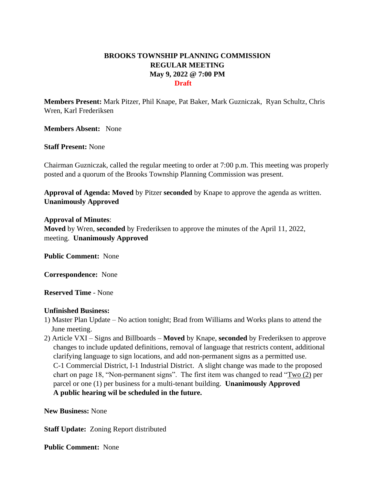## **BROOKS TOWNSHIP PLANNING COMMISSION REGULAR MEETING May 9, 2022 @ 7:00 PM Draft**

**Members Present:** Mark Pitzer, Phil Knape, Pat Baker, Mark Guzniczak, Ryan Schultz, Chris Wren, Karl Frederiksen

**Members Absent:** None

**Staff Present:** None

Chairman Guzniczak, called the regular meeting to order at 7:00 p.m. This meeting was properly posted and a quorum of the Brooks Township Planning Commission was present.

**Approval of Agenda: Moved** by Pitzer **seconded** by Knape to approve the agenda as written. **Unanimously Approved**

## **Approval of Minutes**:

**Moved** by Wren, **seconded** by Frederiksen to approve the minutes of the April 11, 2022, meeting. **Unanimously Approved**

**Public Comment:** None

**Correspondence:** None

**Reserved Time** - None

## **Unfinished Business:**

- 1) Master Plan Update No action tonight; Brad from Williams and Works plans to attend the June meeting.
- 2) Article VXI Signs and Billboards **Moved** by Knape, **seconded** by Frederiksen to approve changes to include updated definitions, removal of language that restricts content, additional clarifying language to sign locations, and add non-permanent signs as a permitted use. C-1 Commercial District, I-1 Industrial District. A slight change was made to the proposed chart on page 18, "Non-permanent signs". The first item was changed to read "Two (2) per parcel or one (1) per business for a multi-tenant building. **Unanimously Approved A public hearing wil be scheduled in the future.**

**New Business:** None

**Staff Update:** Zoning Report distributed

**Public Comment:** None